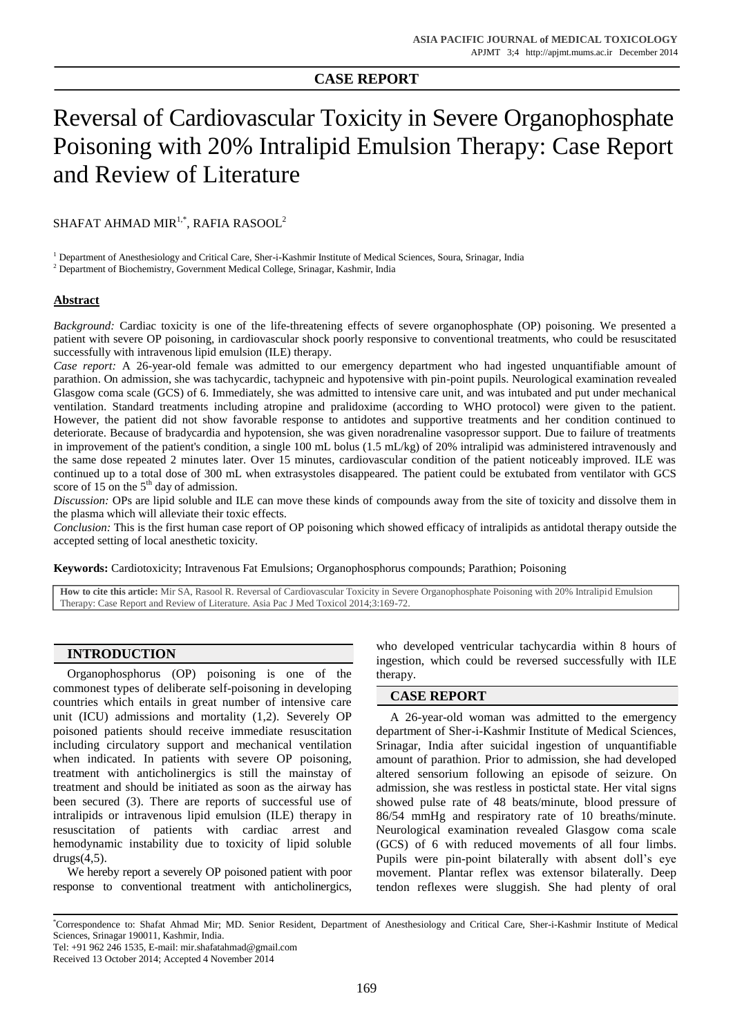## **CASE REPORT**

# Reversal of Cardiovascular Toxicity in Severe Organophosphate Poisoning with 20% Intralipid Emulsion Therapy: Case Report and Review of Literature

SHAFAT AHMAD MIR $^{1,\ast}$ , RAFIA RASOOL $^2$ 

<sup>1</sup> Department of Anesthesiology and Critical Care, Sher-i-Kashmir Institute of Medical Sciences, Soura, Srinagar, India

<sup>2</sup> Department of Biochemistry, Government Medical College, Srinagar, Kashmir, India

### **Abstract**

*Background:* Cardiac toxicity is one of the life-threatening effects of severe organophosphate (OP) poisoning. We presented a patient with severe OP poisoning, in cardiovascular shock poorly responsive to conventional treatments, who could be resuscitated successfully with intravenous lipid emulsion (ILE) therapy.

*Case report:* A 26-year-old female was admitted to our emergency department who had ingested unquantifiable amount of parathion. On admission, she was tachycardic, tachypneic and hypotensive with pin-point pupils. Neurological examination revealed Glasgow coma scale (GCS) of 6. Immediately, she was admitted to intensive care unit, and was intubated and put under mechanical ventilation. Standard treatments including atropine and pralidoxime (according to WHO protocol) were given to the patient. However, the patient did not show favorable response to antidotes and supportive treatments and her condition continued to deteriorate. Because of bradycardia and hypotension, she was given noradrenaline vasopressor support. Due to failure of treatments in improvement of the patient's condition, a single 100 mL bolus (1.5 mL/kg) of 20% intralipid was administered intravenously and the same dose repeated 2 minutes later. Over 15 minutes, cardiovascular condition of the patient noticeably improved. ILE was continued up to a total dose of 300 mL when extrasystoles disappeared. The patient could be extubated from ventilator with GCS score of 15 on the  $5<sup>th</sup>$  day of admission.

*Discussion:* OPs are lipid soluble and ILE can move these kinds of compounds away from the site of toxicity and dissolve them in the plasma which will alleviate their toxic effects.

*Conclusion:* This is the first human case report of OP poisoning which showed efficacy of intralipids as antidotal therapy outside the accepted setting of local anesthetic toxicity.

**Keywords:** Cardiotoxicity; Intravenous Fat Emulsions; Organophosphorus compounds; Parathion; Poisoning

**How to cite this article:** Mir SA, Rasool R. Reversal of Cardiovascular Toxicity in Severe Organophosphate Poisoning with 20% Intralipid Emulsion Therapy: Case Report and Review of Literature. Asia Pac J Med Toxicol 2014;3:169-72.

# **INTRODUCTION**

Organophosphorus (OP) poisoning is one of the commonest types of deliberate self-poisoning in developing countries which entails in great number of intensive care unit (ICU) admissions and mortality (1,2). Severely OP poisoned patients should receive immediate resuscitation including circulatory support and mechanical ventilation when indicated. In patients with severe OP poisoning, treatment with anticholinergics is still the mainstay of treatment and should be initiated as soon as the airway has been secured (3). There are reports of successful use of intralipids or intravenous lipid emulsion (ILE) therapy in resuscitation of patients with cardiac arrest and hemodynamic instability due to toxicity of lipid soluble  $drugs(4,5)$ .

We hereby report a severely OP poisoned patient with poor response to conventional treatment with anticholinergics,

who developed ventricular tachycardia within 8 hours of ingestion, which could be reversed successfully with ILE therapy.

#### **CASE REPORT**

A 26-year-old woman was admitted to the emergency department of Sher-i-Kashmir Institute of Medical Sciences, Srinagar, India after suicidal ingestion of unquantifiable amount of parathion. Prior to admission, she had developed altered sensorium following an episode of seizure. On admission, she was restless in postictal state. Her vital signs showed pulse rate of 48 beats/minute, blood pressure of 86/54 mmHg and respiratory rate of 10 breaths/minute. Neurological examination revealed Glasgow coma scale (GCS) of 6 with reduced movements of all four limbs. Pupils were pin-point bilaterally with absent doll's eye movement. Plantar reflex was extensor bilaterally. Deep tendon reflexes were sluggish. She had plenty of oral

<sup>\*</sup>Correspondence to: Shafat Ahmad Mir; MD. Senior Resident, Department of Anesthesiology and Critical Care, Sher-i-Kashmir Institute of Medical Sciences, Srinagar 190011, Kashmir, India.

Tel: +91 962 246 1535, E-mail[: mir.shafatahmad@gmail.com](mailto:mir.shafatahmad@gmail.com)

Received 13 October 2014; Accepted 4 November 2014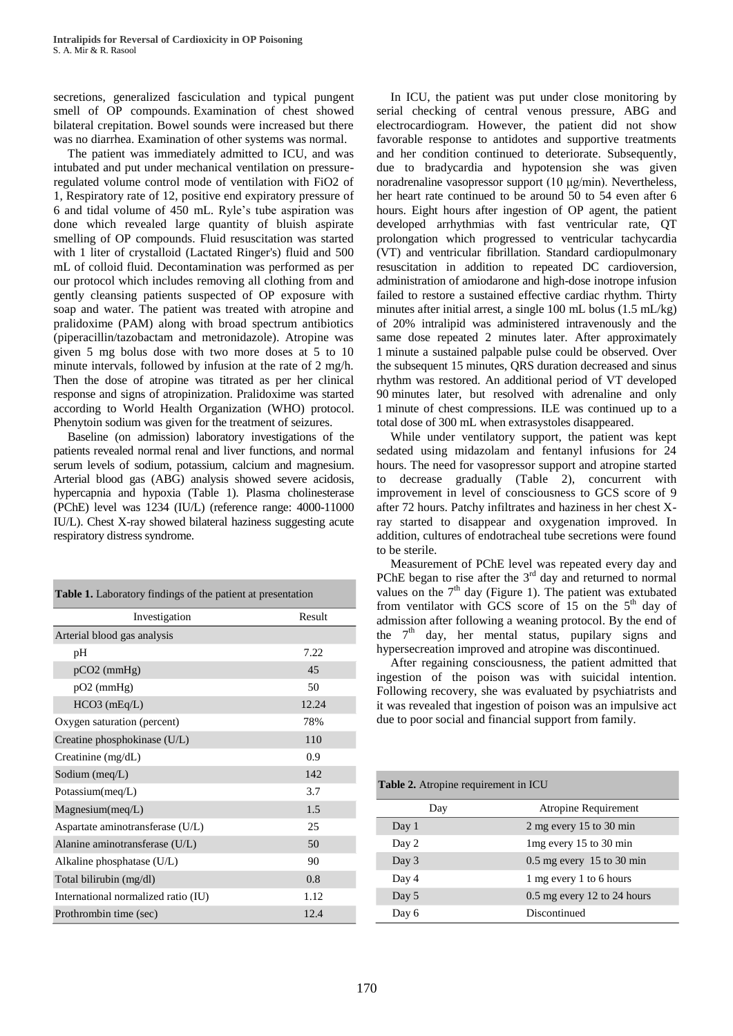secretions, generalized fasciculation and typical pungent smell of OP compounds. Examination of chest showed bilateral crepitation. Bowel sounds were increased but there was no diarrhea. Examination of other systems was normal.

The patient was immediately admitted to ICU, and was intubated and put under mechanical ventilation on pressureregulated volume control mode of ventilation with FiO2 of 1, Respiratory rate of 12, positive end expiratory pressure of 6 and tidal volume of 450 mL. Ryle's tube aspiration was done which revealed large quantity of bluish aspirate smelling of OP compounds. Fluid resuscitation was started with 1 liter of crystalloid (Lactated Ringer's) fluid and 500 mL of colloid fluid. Decontamination was performed as per our protocol which includes removing all clothing from and gently cleansing patients suspected of OP exposure with soap and water. The patient was treated with atropine and pralidoxime (PAM) along with broad spectrum antibiotics (piperacillin/tazobactam and metronidazole). Atropine was given 5 mg bolus dose with two more doses at 5 to 10 minute intervals, followed by infusion at the rate of 2 mg/h. Then the dose of atropine was titrated as per her clinical response and signs of atropinization. Pralidoxime was started according to World Health Organization (WHO) protocol. Phenytoin sodium was given for the treatment of seizures.

Baseline (on admission) laboratory investigations of the patients revealed normal renal and liver functions, and normal serum levels of sodium, potassium, calcium and magnesium. Arterial blood gas (ABG) analysis showed severe acidosis, hypercapnia and hypoxia (Table 1). Plasma cholinesterase (PChE) level was 1234 (IU/L) (reference range: 4000-11000 IU/L). Chest X-ray showed bilateral haziness suggesting acute respiratory distress syndrome.

| <b>Table 1.</b> Laboratory findings of the patient at presentation |        |
|--------------------------------------------------------------------|--------|
| Investigation                                                      | Result |
| Arterial blood gas analysis                                        |        |
| pH                                                                 | 7.22   |
| $pCO2$ (mmHg)                                                      | 45     |
| $pO2$ (mmHg)                                                       | 50     |
| $HCO3$ (mEq/L)                                                     | 12.24  |
| Oxygen saturation (percent)                                        | 78%    |
| Creatine phosphokinase (U/L)                                       | 110    |
| Creatinine $(mg/dL)$                                               | 0.9    |
| Sodium (meq/L)                                                     | 142    |
| Potassium(meq/L)                                                   | 3.7    |
| Magnesium(meq/L)                                                   | 1.5    |
| Aspartate aminotransferase (U/L)                                   | 25     |
| Alanine aminotransferase (U/L)                                     | 50     |
| Alkaline phosphatase (U/L)                                         | 90     |
| Total bilirubin (mg/dl)                                            | 0.8    |
| International normalized ratio (IU)                                | 1.12   |
| Prothrombin time (sec)                                             | 12.4   |

In ICU, the patient was put under close monitoring by serial checking of central venous pressure, ABG and electrocardiogram. However, the patient did not show favorable response to antidotes and supportive treatments and her condition continued to deteriorate. Subsequently, due to bradycardia and hypotension she was given noradrenaline vasopressor support (10 μg/min). Nevertheless, her heart rate continued to be around 50 to 54 even after 6 hours. Eight hours after ingestion of OP agent, the patient developed arrhythmias with fast ventricular rate, QT prolongation which progressed to ventricular tachycardia (VT) and ventricular fibrillation. Standard cardiopulmonary resuscitation in addition to repeated DC cardioversion, administration of amiodarone and high-dose inotrope infusion failed to restore a sustained effective cardiac rhythm. Thirty minutes after initial arrest, a single 100 mL bolus (1.5 mL/kg) of 20% intralipid was administered intravenously and the same dose repeated 2 minutes later. After approximately 1 minute a sustained palpable pulse could be observed. Over the subsequent 15 minutes, QRS duration decreased and sinus rhythm was restored. An additional period of VT developed 90 minutes later, but resolved with adrenaline and only 1 minute of chest compressions. ILE was continued up to a total dose of 300 mL when extrasystoles disappeared.

While under ventilatory support, the patient was kept sedated using midazolam and fentanyl infusions for 24 hours. The need for vasopressor support and atropine started to decrease gradually (Table 2), concurrent with improvement in level of consciousness to GCS score of 9 after 72 hours. Patchy infiltrates and haziness in her chest Xray started to disappear and oxygenation improved. In addition, cultures of endotracheal tube secretions were found to be sterile.

Measurement of PChE level was repeated every day and PChE began to rise after the  $3<sup>rd</sup>$  day and returned to normal values on the  $7<sup>th</sup>$  day (Figure 1). The patient was extubated from ventilator with GCS score of  $15$  on the  $5<sup>th</sup>$  day of admission after following a weaning protocol. By the end of the  $7<sup>th</sup>$  day, her mental status, pupilary signs and hypersecreation improved and atropine was discontinued.

After regaining consciousness, the patient admitted that ingestion of the poison was with suicidal intention. Following recovery, she was evaluated by psychiatrists and it was revealed that ingestion of poison was an impulsive act due to poor social and financial support from family.

**Table 2.** Atropine requirement in ICU

| Day   | <b>Atropine Requirement</b>   |
|-------|-------------------------------|
| Day 1 | $2$ mg every 15 to 30 min     |
| Day 2 | $1mg$ every 15 to 30 min      |
| Day 3 | $0.5$ mg every 15 to 30 min   |
| Day 4 | 1 mg every 1 to 6 hours       |
| Day 5 | $0.5$ mg every 12 to 24 hours |
| Day 6 | Discontinued                  |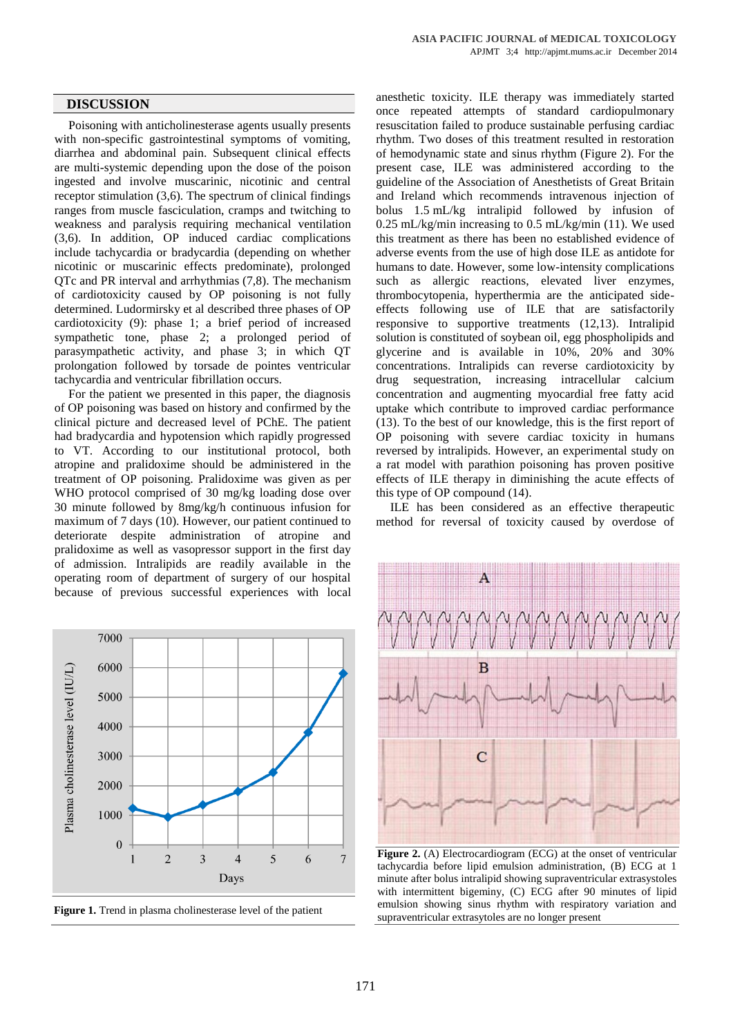Poisoning with anticholinesterase agents usually presents with non-specific gastrointestinal symptoms of vomiting, diarrhea and abdominal pain. Subsequent clinical effects are multi-systemic depending upon the dose of the poison ingested and involve muscarinic, nicotinic and central receptor stimulation (3,6). The spectrum of clinical findings ranges from muscle fasciculation, cramps and twitching to weakness and paralysis requiring mechanical ventilation (3,6). In addition, OP induced cardiac complications include tachycardia or bradycardia (depending on whether nicotinic or muscarinic effects predominate), prolonged QTc and PR interval and arrhythmias (7,8). The mechanism of cardiotoxicity caused by OP poisoning is not fully determined. Ludormirsky et al described three phases of OP cardiotoxicity (9): phase 1; a brief period of increased sympathetic tone, phase 2; a prolonged period of parasympathetic activity, and phase 3; in which QT prolongation followed by torsade de pointes ventricular tachycardia and ventricular fibrillation occurs.

For the patient we presented in this paper, the diagnosis of OP poisoning was based on history and confirmed by the clinical picture and decreased level of PChE. The patient had bradycardia and hypotension which rapidly progressed to VT. According to our institutional protocol, both atropine and pralidoxime should be administered in the treatment of OP poisoning. Pralidoxime was given as per WHO protocol comprised of 30 mg/kg loading dose over 30 minute followed by 8mg/kg/h continuous infusion for maximum of 7 days (10). However, our patient continued to deteriorate despite administration of atropine and pralidoxime as well as vasopressor support in the first day of admission. Intralipids are readily available in the operating room of department of surgery of our hospital because of previous successful experiences with local





anesthetic toxicity. ILE therapy was immediately started once repeated attempts of standard cardiopulmonary resuscitation failed to produce sustainable perfusing cardiac rhythm. Two doses of this treatment resulted in restoration of hemodynamic state and sinus rhythm (Figure 2). For the present case, ILE was administered according to the guideline of the Association of Anesthetists of Great Britain and Ireland which recommends intravenous injection of bolus 1.5 mL/kg intralipid followed by infusion of 0.25 mL/kg/min increasing to 0.5 mL/kg/min (11). We used this treatment as there has been no established evidence of adverse events from the use of high dose ILE as antidote for humans to date. However, some low-intensity complications such as allergic reactions, elevated liver enzymes, thrombocytopenia, hyperthermia are the anticipated sideeffects following use of ILE that are satisfactorily responsive to supportive treatments (12,13). Intralipid solution is constituted of soybean oil, egg phospholipids and glycerine and is available in 10%, 20% and 30% concentrations. Intralipids can reverse cardiotoxicity by drug sequestration, increasing intracellular calcium concentration and augmenting myocardial free fatty acid uptake which contribute to improved cardiac performance (13). To the best of our knowledge, this is the first report of OP poisoning with severe cardiac toxicity in humans reversed by intralipids. However, an experimental study on a rat model with parathion poisoning has proven positive effects of ILE therapy in diminishing the acute effects of this type of OP compound (14).

ILE has been considered as an effective therapeutic method for reversal of toxicity caused by overdose of



**Figure 2.** (A) Electrocardiogram (ECG) at the onset of ventricular tachycardia before lipid emulsion administration, (B) ECG at 1 minute after bolus intralipid showing supraventricular extrasystoles with intermittent bigeminy, (C) ECG after 90 minutes of lipid emulsion showing sinus rhythm with respiratory variation and supraventricular extrasytoles are no longer present